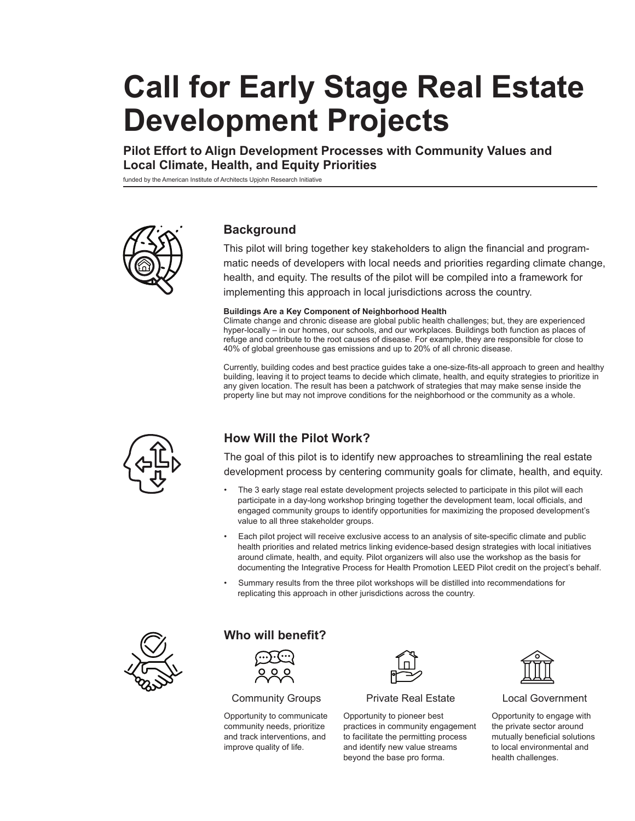# **Call for Early Stage Real Estate Development Projects**

**Pilot Effort to Align Development Processes with Community Values and Local Climate, Health, and Equity Priorities**

funded by the American Institute of Architects Upjohn Research Initiative



## **Background**

This pilot will bring together key stakeholders to align the financial and programmatic needs of developers with local needs and priorities regarding climate change, health, and equity. The results of the pilot will be compiled into a framework for implementing this approach in local jurisdictions across the country.

#### **Buildings Are a Key Component of Neighborhood Health**

Climate change and chronic disease are global public health challenges; but, they are experienced hyper-locally – in our homes, our schools, and our workplaces. Buildings both function as places of refuge and contribute to the root causes of disease. For example, they are responsible for close to 40% of global greenhouse gas emissions and up to 20% of all chronic disease.

Currently, building codes and best practice guides take a one-size-fits-all approach to green and healthy building, leaving it to project teams to decide which climate, health, and equity strategies to prioritize in any given location. The result has been a patchwork of strategies that may make sense inside the property line but may not improve conditions for the neighborhood or the community as a whole.



## **How Will the Pilot Work?**

The goal of this pilot is to identify new approaches to streamlining the real estate development process by centering community goals for climate, health, and equity.

- The 3 early stage real estate development projects selected to participate in this pilot will each participate in a day-long workshop bringing together the development team, local officials, and engaged community groups to identify opportunities for maximizing the proposed development's value to all three stakeholder groups.
- Each pilot project will receive exclusive access to an analysis of site-specific climate and public health priorities and related metrics linking evidence-based design strategies with local initiatives around climate, health, and equity. Pilot organizers will also use the workshop as the basis for documenting the Integrative Process for Health Promotion LEED Pilot credit on the project's behalf.
- Summary results from the three pilot workshops will be distilled into recommendations for replicating this approach in other jurisdictions across the country.



## **Who will benefit?**



Community Groups

Opportunity to communicate community needs, prioritize and track interventions, and improve quality of life.



#### Private Real Estate

Opportunity to pioneer best practices in community engagement to facilitate the permitting process and identify new value streams beyond the base pro forma.



#### Local Government

Opportunity to engage with the private sector around mutually beneficial solutions to local environmental and health challenges.